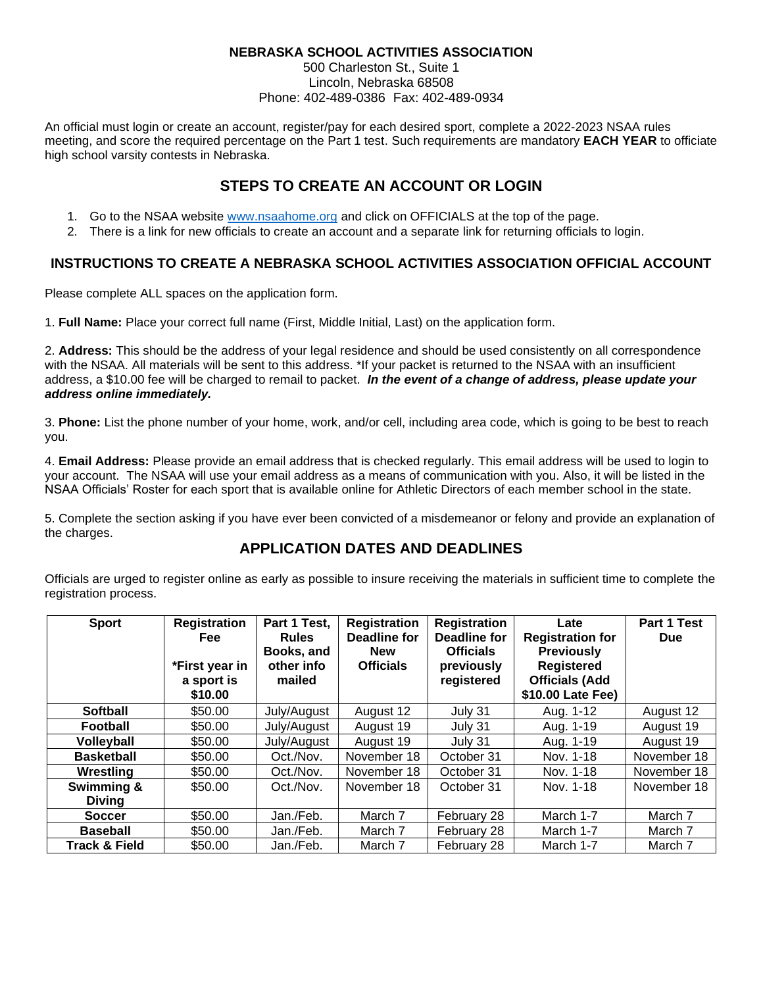## **NEBRASKA SCHOOL ACTIVITIES ASSOCIATION**

500 Charleston St., Suite 1 Lincoln, Nebraska 68508 Phone: 402-489-0386 Fax: 402-489-0934

An official must login or create an account, register/pay for each desired sport, complete a 2022-2023 NSAA rules meeting, and score the required percentage on the Part 1 test. Such requirements are mandatory **EACH YEAR** to officiate high school varsity contests in Nebraska.

## **STEPS TO CREATE AN ACCOUNT OR LOGIN**

- 1. Go to the NSAA website [www.nsaahome.org](http://www.nsaahome.org/) and click on OFFICIALS at the top of the page.
- 2. There is a link for new officials to create an account and a separate link for returning officials to login.

## **INSTRUCTIONS TO CREATE A NEBRASKA SCHOOL ACTIVITIES ASSOCIATION OFFICIAL ACCOUNT**

Please complete ALL spaces on the application form.

1. **Full Name:** Place your correct full name (First, Middle Initial, Last) on the application form.

2. **Address:** This should be the address of your legal residence and should be used consistently on all correspondence with the NSAA. All materials will be sent to this address. \*If your packet is returned to the NSAA with an insufficient address, a \$10.00 fee will be charged to remail to packet. *In the event of a change of address, please update your address online immediately.*

3. **Phone:** List the phone number of your home, work, and/or cell, including area code, which is going to be best to reach you.

4. **Email Address:** Please provide an email address that is checked regularly. This email address will be used to login to your account. The NSAA will use your email address as a means of communication with you. Also, it will be listed in the NSAA Officials' Roster for each sport that is available online for Athletic Directors of each member school in the state.

5. Complete the section asking if you have ever been convicted of a misdemeanor or felony and provide an explanation of the charges.

## **APPLICATION DATES AND DEADLINES**

Officials are urged to register online as early as possible to insure receiving the materials in sufficient time to complete the registration process.

| <b>Sport</b>             | <b>Registration</b><br>Fee:<br>*First year in<br>a sport is<br>\$10.00 | Part 1 Test,<br><b>Rules</b><br>Books, and<br>other info<br>mailed | <b>Registration</b><br>Deadline for<br><b>New</b><br><b>Officials</b> | <b>Registration</b><br>Deadline for<br><b>Officials</b><br>previously<br>registered | Late<br><b>Registration for</b><br><b>Previously</b><br><b>Registered</b><br><b>Officials (Add</b><br>\$10.00 Late Fee) | Part 1 Test<br><b>Due</b> |
|--------------------------|------------------------------------------------------------------------|--------------------------------------------------------------------|-----------------------------------------------------------------------|-------------------------------------------------------------------------------------|-------------------------------------------------------------------------------------------------------------------------|---------------------------|
| <b>Softball</b>          | \$50.00                                                                | July/August                                                        | August 12                                                             | July 31                                                                             | Aug. 1-12                                                                                                               | August 12                 |
| <b>Football</b>          | \$50.00                                                                | July/August                                                        | August 19                                                             | July 31                                                                             | Aug. 1-19                                                                                                               | August 19                 |
| Volleyball               | \$50.00                                                                | July/August                                                        | August 19                                                             | July 31                                                                             | Aug. 1-19                                                                                                               | August 19                 |
| <b>Basketball</b>        | \$50.00                                                                | Oct./Nov.                                                          | November 18                                                           | October 31                                                                          | Nov. 1-18                                                                                                               | November 18               |
| Wrestling                | \$50.00                                                                | Oct./Nov.                                                          | November 18                                                           | October 31                                                                          | Nov. 1-18                                                                                                               | November 18               |
| Swimming &               | \$50.00                                                                | Oct./Nov.                                                          | November 18                                                           | October 31                                                                          | Nov. 1-18                                                                                                               | November 18               |
| <b>Diving</b>            |                                                                        |                                                                    |                                                                       |                                                                                     |                                                                                                                         |                           |
| <b>Soccer</b>            | \$50.00                                                                | Jan./Feb.                                                          | March 7                                                               | February 28                                                                         | March 1-7                                                                                                               | March 7                   |
| <b>Baseball</b>          | \$50.00                                                                | Jan./Feb.                                                          | March 7                                                               | February 28                                                                         | March 1-7                                                                                                               | March 7                   |
| <b>Track &amp; Field</b> | \$50.00                                                                | Jan./Feb.                                                          | March 7                                                               | February 28                                                                         | March 1-7                                                                                                               | March 7                   |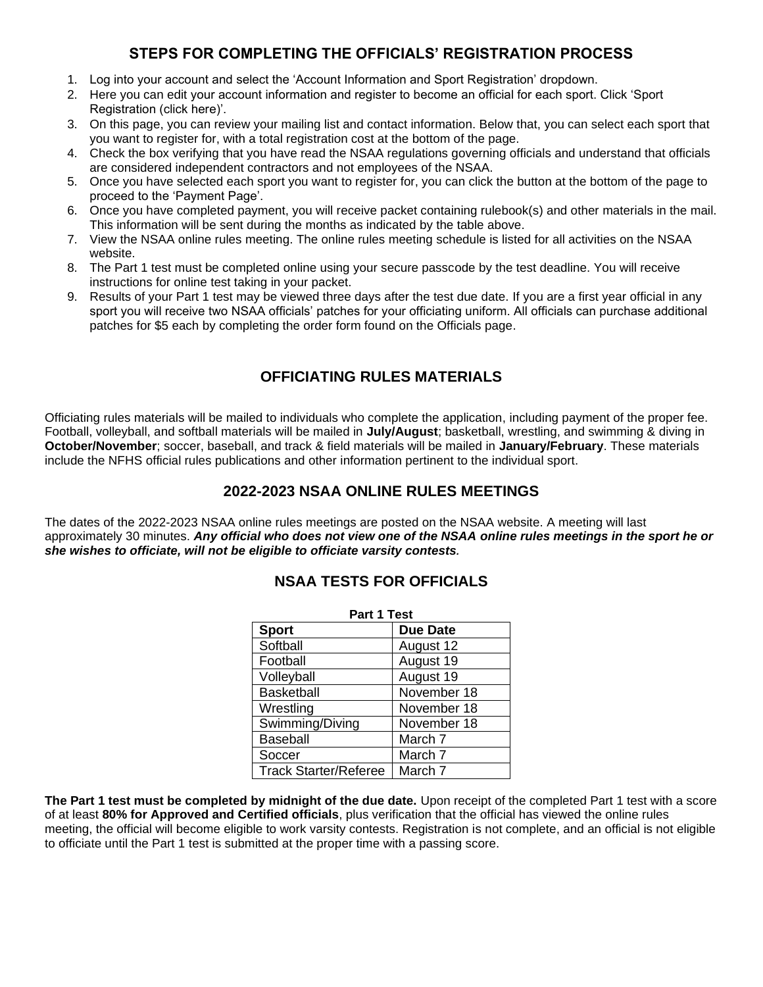# **STEPS FOR COMPLETING THE OFFICIALS' REGISTRATION PROCESS**

- 1. Log into your account and select the 'Account Information and Sport Registration' dropdown.
- 2. Here you can edit your account information and register to become an official for each sport. Click 'Sport Registration (click here)'.
- 3. On this page, you can review your mailing list and contact information. Below that, you can select each sport that you want to register for, with a total registration cost at the bottom of the page.
- 4. Check the box verifying that you have read the NSAA regulations governing officials and understand that officials are considered independent contractors and not employees of the NSAA.
- 5. Once you have selected each sport you want to register for, you can click the button at the bottom of the page to proceed to the 'Payment Page'.
- 6. Once you have completed payment, you will receive packet containing rulebook(s) and other materials in the mail. This information will be sent during the months as indicated by the table above.
- 7. View the NSAA online rules meeting. The online rules meeting schedule is listed for all activities on the NSAA website.
- 8. The Part 1 test must be completed online using your secure passcode by the test deadline. You will receive instructions for online test taking in your packet.
- 9. Results of your Part 1 test may be viewed three days after the test due date. If you are a first year official in any sport you will receive two NSAA officials' patches for your officiating uniform. All officials can purchase additional patches for \$5 each by completing the order form found on the Officials page.

# **OFFICIATING RULES MATERIALS**

Officiating rules materials will be mailed to individuals who complete the application, including payment of the proper fee. Football, volleyball, and softball materials will be mailed in **July/August**; basketball, wrestling, and swimming & diving in **October/November**; soccer, baseball, and track & field materials will be mailed in **January/February**. These materials include the NFHS official rules publications and other information pertinent to the individual sport.

## **2022-2023 NSAA ONLINE RULES MEETINGS**

The dates of the 2022-2023 NSAA online rules meetings are posted on the NSAA website. A meeting will last approximately 30 minutes. *Any official who does not view one of the NSAA online rules meetings in the sport he or she wishes to officiate, will not be eligible to officiate varsity contests.*

| Part 1 Test                  |                 |  |  |  |  |
|------------------------------|-----------------|--|--|--|--|
| <b>Sport</b>                 | <b>Due Date</b> |  |  |  |  |
| Softball                     | August 12       |  |  |  |  |
| Football                     | August 19       |  |  |  |  |
| Volleyball                   | August 19       |  |  |  |  |
| <b>Basketball</b>            | November 18     |  |  |  |  |
| Wrestling                    | November 18     |  |  |  |  |
| Swimming/Diving              | November 18     |  |  |  |  |
| Baseball                     | March 7         |  |  |  |  |
| Soccer                       | March 7         |  |  |  |  |
| <b>Track Starter/Referee</b> | March 7         |  |  |  |  |

## **NSAA TESTS FOR OFFICIALS**

**The Part 1 test must be completed by midnight of the due date.** Upon receipt of the completed Part 1 test with a score of at least **80% for Approved and Certified officials**, plus verification that the official has viewed the online rules meeting, the official will become eligible to work varsity contests. Registration is not complete, and an official is not eligible to officiate until the Part 1 test is submitted at the proper time with a passing score.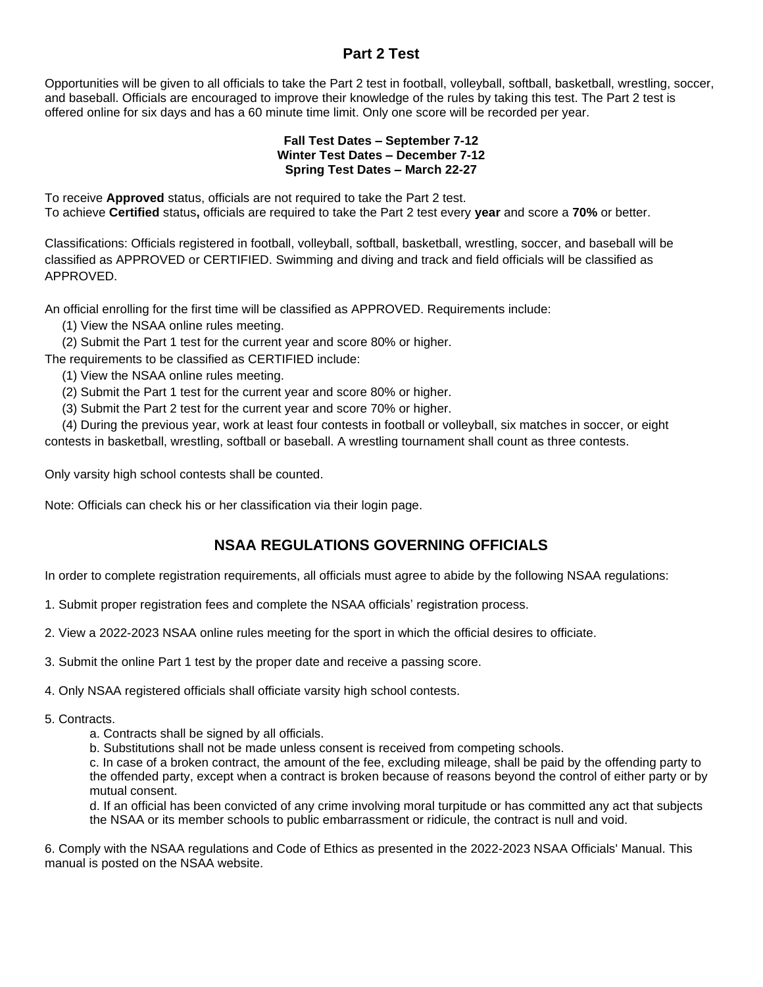## **Part 2 Test**

Opportunities will be given to all officials to take the Part 2 test in football, volleyball, softball, basketball, wrestling, soccer, and baseball. Officials are encouraged to improve their knowledge of the rules by taking this test. The Part 2 test is offered online for six days and has a 60 minute time limit. Only one score will be recorded per year.

#### **Fall Test Dates – September 7-12 Winter Test Dates – December 7-12 Spring Test Dates – March 22-27**

To receive **Approved** status, officials are not required to take the Part 2 test. To achieve **Certified** status**,** officials are required to take the Part 2 test every **year** and score a **70%** or better.

Classifications: Officials registered in football, volleyball, softball, basketball, wrestling, soccer, and baseball will be classified as APPROVED or CERTIFIED. Swimming and diving and track and field officials will be classified as APPROVED.

An official enrolling for the first time will be classified as APPROVED. Requirements include:

- (1) View the NSAA online rules meeting.
- (2) Submit the Part 1 test for the current year and score 80% or higher.

The requirements to be classified as CERTIFIED include:

- (1) View the NSAA online rules meeting.
- (2) Submit the Part 1 test for the current year and score 80% or higher.
- (3) Submit the Part 2 test for the current year and score 70% or higher.

 (4) During the previous year, work at least four contests in football or volleyball, six matches in soccer, or eight contests in basketball, wrestling, softball or baseball. A wrestling tournament shall count as three contests.

Only varsity high school contests shall be counted.

Note: Officials can check his or her classification via their login page.

## **NSAA REGULATIONS GOVERNING OFFICIALS**

In order to complete registration requirements, all officials must agree to abide by the following NSAA regulations:

- 1. Submit proper registration fees and complete the NSAA officials' registration process.
- 2. View a 2022-2023 NSAA online rules meeting for the sport in which the official desires to officiate.
- 3. Submit the online Part 1 test by the proper date and receive a passing score.

4. Only NSAA registered officials shall officiate varsity high school contests.

### 5. Contracts.

- a. Contracts shall be signed by all officials.
- b. Substitutions shall not be made unless consent is received from competing schools.

c. In case of a broken contract, the amount of the fee, excluding mileage, shall be paid by the offending party to the offended party, except when a contract is broken because of reasons beyond the control of either party or by mutual consent.

d. If an official has been convicted of any crime involving moral turpitude or has committed any act that subjects the NSAA or its member schools to public embarrassment or ridicule, the contract is null and void.

6. Comply with the NSAA regulations and Code of Ethics as presented in the 2022-2023 NSAA Officials' Manual. This manual is posted on the NSAA website.